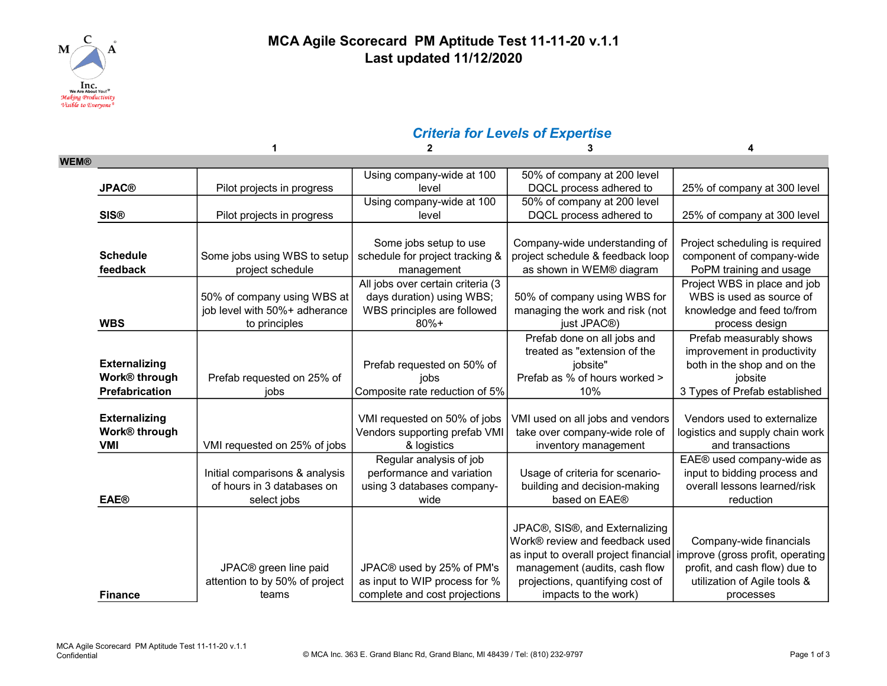

#### MCA Agile Scorecard PM Aptitude Test 11-11-20 v.1.1 Last updated 11/12/2020

# Criteria for Levels of Expertise

|                           |                                   | $\overline{2}$                    | 3                                     |                                  |
|---------------------------|-----------------------------------|-----------------------------------|---------------------------------------|----------------------------------|
| <b>WEM®</b>               |                                   |                                   |                                       |                                  |
|                           |                                   | Using company-wide at 100         | 50% of company at 200 level           |                                  |
| <b>JPAC®</b>              | Pilot projects in progress        | level                             | DQCL process adhered to               | 25% of company at 300 level      |
|                           |                                   | Using company-wide at 100         | 50% of company at 200 level           |                                  |
| <b>SIS®</b>               | Pilot projects in progress        | level                             | DQCL process adhered to               | 25% of company at 300 level      |
|                           |                                   |                                   |                                       |                                  |
|                           |                                   | Some jobs setup to use            | Company-wide understanding of         | Project scheduling is required   |
| <b>Schedule</b>           | Some jobs using WBS to setup      | schedule for project tracking &   | project schedule & feedback loop      | component of company-wide        |
| feedback                  | project schedule                  | management                        | as shown in WEM® diagram              | PoPM training and usage          |
|                           |                                   | All jobs over certain criteria (3 |                                       | Project WBS in place and job     |
|                           | 50% of company using WBS at       | days duration) using WBS;         | 50% of company using WBS for          | WBS is used as source of         |
|                           | job level with 50%+ adherance     | WBS principles are followed       | managing the work and risk (not       | knowledge and feed to/from       |
| <b>WBS</b>                | to principles                     | $80%+$                            | just JPAC <sup>®</sup> )              | process design                   |
|                           |                                   |                                   | Prefab done on all jobs and           | Prefab measurably shows          |
|                           |                                   |                                   | treated as "extension of the          | improvement in productivity      |
| <b>Externalizing</b>      |                                   | Prefab requested on 50% of        | jobsite"                              | both in the shop and on the      |
| Work® through             | Prefab requested on 25% of        | jobs                              | Prefab as % of hours worked >         | jobsite                          |
| Prefabrication            | iobs                              | Composite rate reduction of 5%    | 10%                                   | 3 Types of Prefab established    |
|                           |                                   |                                   |                                       |                                  |
| <b>Externalizing</b>      |                                   | VMI requested on 50% of jobs      | VMI used on all jobs and vendors      | Vendors used to externalize      |
| Work <sup>®</sup> through |                                   | Vendors supporting prefab VMI     | take over company-wide role of        | logistics and supply chain work  |
| <b>VMI</b>                | VMI requested on 25% of jobs      | & logistics                       | inventory management                  | and transactions                 |
|                           |                                   | Regular analysis of job           |                                       | EAE® used company-wide as        |
|                           | Initial comparisons & analysis    | performance and variation         | Usage of criteria for scenario-       | input to bidding process and     |
|                           | of hours in 3 databases on        | using 3 databases company-        | building and decision-making          | overall lessons learned/risk     |
| <b>EAE®</b>               | select jobs                       | wide                              | based on EAE®                         | reduction                        |
|                           |                                   |                                   |                                       |                                  |
|                           |                                   |                                   | JPAC®, SIS®, and Externalizing        |                                  |
|                           |                                   |                                   | Work® review and feedback used        | Company-wide financials          |
|                           |                                   |                                   | as input to overall project financial | improve (gross profit, operating |
|                           | JPAC <sup>®</sup> green line paid | JPAC® used by 25% of PM's         | management (audits, cash flow         | profit, and cash flow) due to    |
|                           | attention to by 50% of project    | as input to WIP process for %     | projections, quantifying cost of      | utilization of Agile tools &     |
| <b>Finance</b>            | teams                             | complete and cost projections     | impacts to the work)                  | processes                        |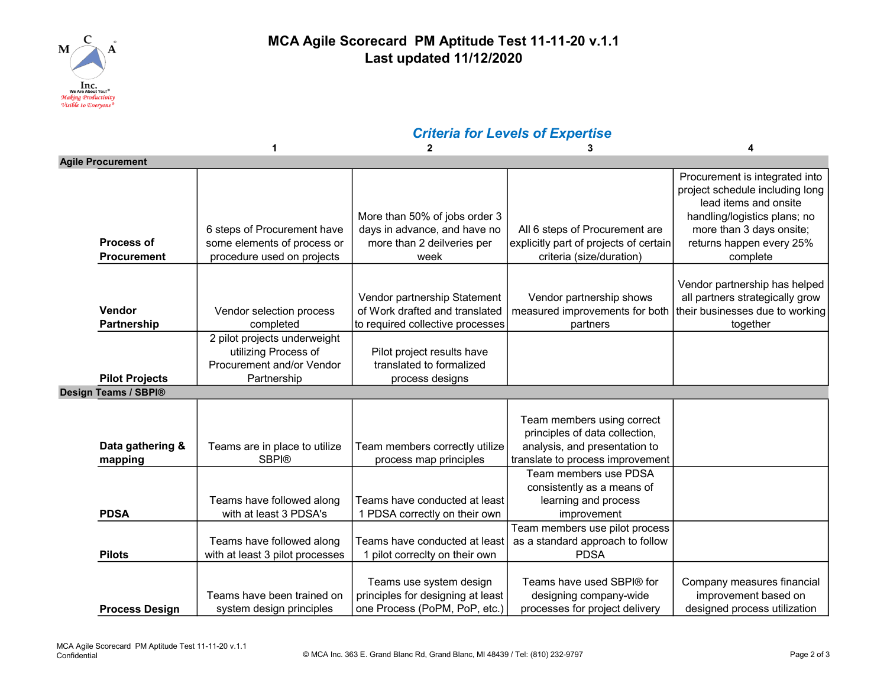

#### MCA Agile Scorecard PM Aptitude Test 11-11-20 v.1.1 Last updated 11/12/2020

## Criteria for Levels of Expertise

|                          |                                         |                                                                                                  | $\mathbf{2}$                                                                                        | 3                                                                                                                                 | Δ                                                                                                                                                                                              |
|--------------------------|-----------------------------------------|--------------------------------------------------------------------------------------------------|-----------------------------------------------------------------------------------------------------|-----------------------------------------------------------------------------------------------------------------------------------|------------------------------------------------------------------------------------------------------------------------------------------------------------------------------------------------|
| <b>Agile Procurement</b> |                                         |                                                                                                  |                                                                                                     |                                                                                                                                   |                                                                                                                                                                                                |
|                          | <b>Process of</b><br><b>Procurement</b> | 6 steps of Procurement have<br>some elements of process or<br>procedure used on projects         | More than 50% of jobs order 3<br>days in advance, and have no<br>more than 2 deilveries per<br>week | All 6 steps of Procurement are<br>explicitly part of projects of certain<br>criteria (size/duration)                              | Procurement is integrated into<br>project schedule including long<br>lead items and onsite<br>handling/logistics plans; no<br>more than 3 days onsite;<br>returns happen every 25%<br>complete |
|                          | Vendor<br>Partnership                   | Vendor selection process<br>completed                                                            | Vendor partnership Statement<br>of Work drafted and translated<br>to required collective processes  | Vendor partnership shows<br>measured improvements for both<br>partners                                                            | Vendor partnership has helped<br>all partners strategically grow<br>their businesses due to working<br>together                                                                                |
|                          | <b>Pilot Projects</b>                   | 2 pilot projects underweight<br>utilizing Process of<br>Procurement and/or Vendor<br>Partnership | Pilot project results have<br>translated to formalized<br>process designs                           |                                                                                                                                   |                                                                                                                                                                                                |
|                          | Design Teams / SBPI®                    |                                                                                                  |                                                                                                     |                                                                                                                                   |                                                                                                                                                                                                |
|                          | Data gathering &<br>mapping             | Teams are in place to utilize<br><b>SBPI®</b>                                                    | Team members correctly utilize<br>process map principles                                            | Team members using correct<br>principles of data collection,<br>analysis, and presentation to<br>translate to process improvement |                                                                                                                                                                                                |
|                          | <b>PDSA</b>                             | Teams have followed along<br>with at least 3 PDSA's                                              | Teams have conducted at least<br>1 PDSA correctly on their own                                      | Team members use PDSA<br>consistently as a means of<br>learning and process<br>improvement                                        |                                                                                                                                                                                                |
|                          | <b>Pilots</b>                           | Teams have followed along<br>with at least 3 pilot processes                                     | Teams have conducted at least<br>pilot correclty on their own                                       | Team members use pilot process<br>as a standard approach to follow<br><b>PDSA</b>                                                 |                                                                                                                                                                                                |
|                          | <b>Process Design</b>                   | Teams have been trained on<br>system design principles                                           | Teams use system design<br>principles for designing at least<br>one Process (PoPM, PoP, etc.)       | Teams have used SBPI® for<br>designing company-wide<br>processes for project delivery                                             | Company measures financial<br>improvement based on<br>designed process utilization                                                                                                             |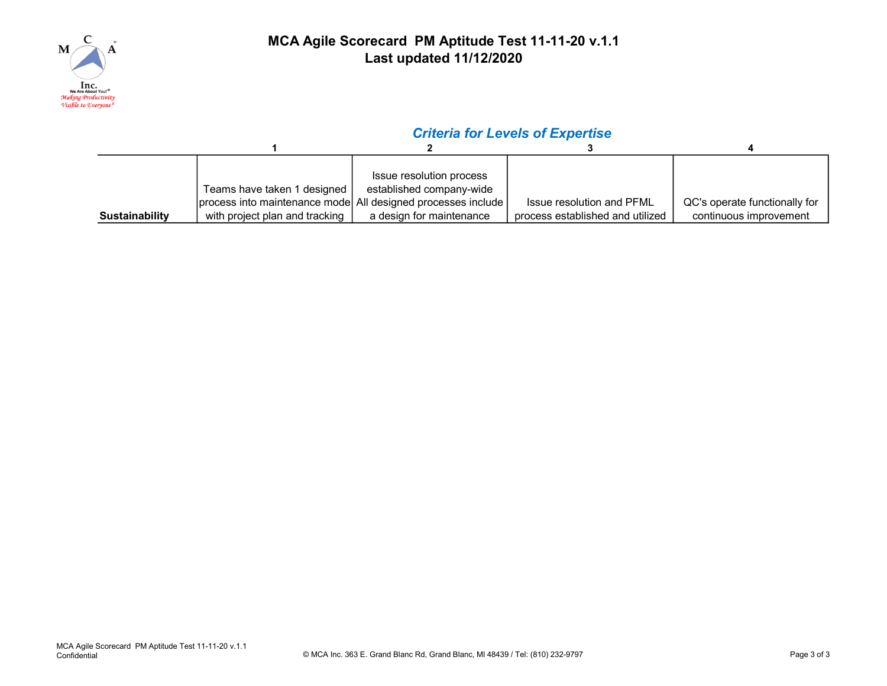

### MCA Agile Scorecard PM Aptitude Test 11-11-20 v.1.1 Last updated 11/12/2020

## Criteria for Levels of Expertise

|                       |                                                              | Issue resolution process |                                  |                               |
|-----------------------|--------------------------------------------------------------|--------------------------|----------------------------------|-------------------------------|
|                       | Teams have taken 1 designed                                  | established company-wide |                                  |                               |
|                       | process into maintenance mode All designed processes include |                          | Issue resolution and PFML        | QC's operate functionally for |
| <b>Sustainability</b> | with project plan and tracking                               | a design for maintenance | process established and utilized | continuous improvement        |